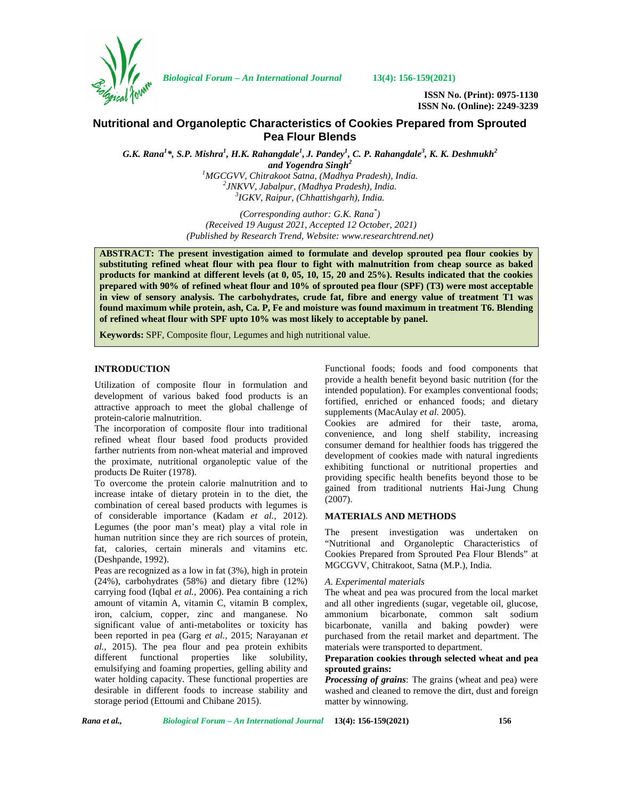

*Biological Forum – An International Journal* **13(4): 156-159(2021)**

**ISSN No. (Print): 0975-1130 ISSN No. (Online): 2249-3239**

# **Nutritional and Organoleptic Characteristics of Cookies Prepared from Sprouted Pea Flour Blends**

G.K. Rana $^{l*}$ , S.P. Mishra $^{l}$ , H.K. Rahangdale $^{l}$ , J. Pandey $^{l}$ , C. P. Rahangdale $^{3}$ , K. K. Deshmukh $^{2}$ *and Yogendra Singh<sup>2</sup>*

*<sup>1</sup>MGCGVV, Chitrakoot Satna, (Madhya Pradesh), India. <sup>2</sup>JNKVV, Jabalpur, (Madhya Pradesh), India. <sup>3</sup>IGKV, Raipur, (Chhattishgarh), India.*

*(Corresponding author: G.K. Rana\*) (Received 19 August 2021, Accepted 12 October, 2021) (Published by Research Trend, Website: <www.researchtrend.net>)*

**ABSTRACT: The present investigation aimed to formulate and develop sprouted pea flour cookies by substituting refined wheat flour with pea flour to fight with malnutrition from cheap source as baked products for mankind at different levels (at 0, 05, 10, 15, 20 and 25%). Results indicated that the cookies prepared with 90% of refined wheat flour and 10% of sprouted pea flour (SPF) (T3) were most acceptable in view of sensory analysis. The carbohydrates, crude fat, fibre and energy value of treatment T1 was found maximum while protein, ash, Ca. P, Fe and moisture was found maximum in treatment T6. Blending of refined wheat flour with SPF upto 10% was most likely to acceptable by panel.**

**Keywords:** SPF, Composite flour, Legumes and high nutritional value.

## **INTRODUCTION**

Utilization of composite flour in formulation and development of various baked food products is an attractive approach to meet the global challenge of protein-calorie malnutrition.

The incorporation of composite flour into traditional refined wheat flour based food products provided farther nutrients from non-wheat material and improved the proximate, nutritional organoleptic value of the products De Ruiter (1978).

To overcome the protein calorie malnutrition and to increase intake of dietary protein in to the diet, the combination of cereal based products with legumes is of considerable importance (Kadam *et al.,* 2012). Legumes (the poor man's meat) play a vital role in human nutrition since they are rich sources of protein, fat, calories, certain minerals and vitamins etc. (Deshpande, 1992).

Peas are recognized as a low in fat (3%), high in protein (24%), carbohydrates (58%) and dietary fibre (12%) carrying food (Iqbal *et al.,* 2006). Pea containing a rich amount of vitamin A, vitamin C, vitamin B complex, iron, calcium, copper, zinc and manganese. No significant value of anti-metabolites or toxicity has been reported in pea (Garg *et al.,* 2015; Narayanan *et al.,* 2015). The pea flour and pea protein exhibits different functional properties like solubility, emulsifying and foaming properties, gelling ability and water holding capacity. These functional properties are desirable in different foods to increase stability and storage period (Ettoumi and Chibane 2015).

Functional foods; foods and food components that provide a health benefit beyond basic nutrition (for the intended population). For examples conventional foods; fortified, enriched or enhanced foods; and dietary supplements (MacAulay *et al.* 2005).

Cookies are admired for their taste, aroma, convenience, and long shelf stability, increasing consumer demand for healthier foods has triggered the development of cookies made with natural ingredients exhibiting functional or nutritional properties and providing specific health benefits beyond those to be gained from traditional nutrients Hai-Jung Chung (2007).

### **MATERIALS AND METHODS**

The present investigation was undertaken on "Nutritional and Organoleptic Characteristics of Cookies Prepared from Sprouted Pea Flour Blends" at MGCGVV, Chitrakoot, Satna (M.P.), India.

#### *A. Experimental materials*

The wheat and pea was procured from the local market and all other ingredients (sugar, vegetable oil, glucose, ammonium bicarbonate, common salt sodium bicarbonate, vanilla and baking powder) were purchased from the retail market and department. The materials were transported to department.

## **Preparation cookies through selected wheat and pea sprouted grains:**

*Processing of grains*: The grains (wheat and pea) were washed and cleaned to remove the dirt, dust and foreign matter by winnowing.

*Rana et al., Biological Forum – An International Journal* **13(4): 156-159(2021) 156**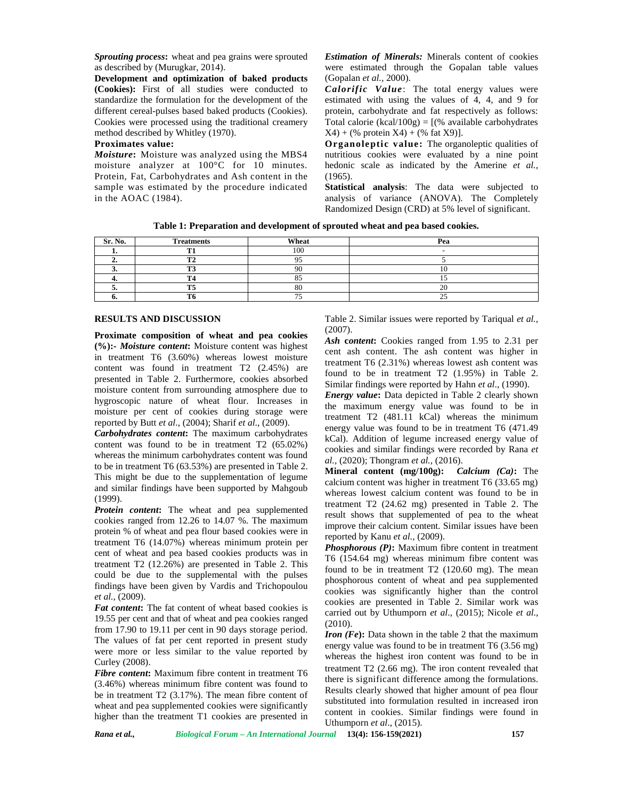*Sprouting process***:** wheat and pea grains were sprouted as described by (Murugkar, 2014).

**Development and optimization of baked products (Cookies):** First of all studies were conducted to standardize the formulation for the development of the different cereal-pulses based baked products (Cookies). Cookies were processed using the traditional creamery method described by Whitley (1970).

## **Proximates value:**

*Moisture***:** Moisture was analyzed using the MBS4 moisture analyzer at 100°C for 10 minutes. Protein, Fat, Carbohydrates and Ash content in the sample was estimated by the procedure indicated in the AOAC (1984).

*Estimation of Minerals:* Minerals content of cookies were estimated through the Gopalan table values (Gopalan *et al.,* 2000).

*Calorific Value*: The total energy values were estimated with using the values of 4, 4, and 9 for protein, carbohydrate and fat respectively as follows: Total calorie (kcal/100g) =  $[(% \omega_{\text{available carbohydrate}})]$  $X4 + (\%$  protein  $X4 + (\%$  fat  $X9)$ ].

**Organoleptic value:** The organoleptic qualities of nutritious cookies were evaluated by a nine point hedonic scale as indicated by the Amerine *et al.,*  $(1965)$ .

**Statistical analysis**: The data were subjected to analysis of variance (ANOVA). The Completely Randomized Design (CRD) at 5% level of significant.

**Table 1: Preparation and development of sprouted wheat and pea based cookies.**

| Sr. No. | <b>Treatments</b> | Wheat | Pea |
|---------|-------------------|-------|-----|
|         | m                 | 100   |     |
|         |                   |       |     |
|         |                   |       |     |
|         |                   |       |     |
|         |                   | 80    |     |
|         |                   |       |     |

### **RESULTS AND DISCUSSION**

**Proximate composition of wheat and pea cookies (%):-** *Moisture content***:** Moisture content was highest in treatment T6 (3.60%) whereas lowest moisture content was found in treatment T2 (2.45%) are presented in Table 2. Furthermore, cookies absorbed moisture content from surrounding atmosphere due to hygroscopic nature of wheat flour. Increases in moisture per cent of cookies during storage were reported by Butt *et al*., (2004); Sharif *et al*., (2009).

*Carbohydrates content***:** The maximum carbohydrates content was found to be in treatment T2 (65.02%) whereas the minimum carbohydrates content was found to be in treatment T6 (63.53%) are presented in Table 2. This might be due to the supplementation of legume and similar findings have been supported by Mahgoub (1999).

*Protein content***:** The wheat and pea supplemented cookies ranged from 12.26 to 14.07 %. The maximum protein % of wheat and pea flour based cookies were in treatment T6 (14.07%) whereas minimum protein per cent of wheat and pea based cookies products was in treatment T2 (12.26%) are presented in Table 2. This could be due to the supplemental with the pulses findings have been given by Vardis and Trichopoulou *et al.,* (2009).

*Fat content***:** The fat content of wheat based cookies is 19.55 per cent and that of wheat and pea cookies ranged from 17.90 to 19.11 per cent in 90 days storage period. The values of fat per cent reported in present study were more or less similar to the value reported by Curley (2008).

*Fibre content***:** Maximum fibre content in treatment T6 (3.46%) whereas minimum fibre content was found to be in treatment T2 (3.17%). The mean fibre content of wheat and pea supplemented cookies were significantly higher than the treatment T1 cookies are presented in Table 2. Similar issues were reported by Tariqual *et al.,* (2007).

*Ash* **c***ontent***:** Cookies ranged from 1.95 to 2.31 per cent ash content. The ash content was higher in treatment T6 (2.31%) whereas lowest ash content was found to be in treatment T2 (1.95%) in Table 2. Similar findings were reported by Hahn *et al*., (1990).

*Energy value***:** Data depicted in Table 2 clearly shown the maximum energy value was found to be in treatment T2 (481.11 kCal) whereas the minimum energy value was found to be in treatment T6 (471.49 kCal). Addition of legume increased energy value of cookies and similar findings were recorded by Rana *et al.,* (2020); Thongram *et al.,* (2016).

**Mineral content (mg/100g):** *Calcium (Ca)***:** The calcium content was higher in treatment T6 (33.65 mg) whereas lowest calcium content was found to be in treatment T2 (24.62 mg) presented in Table 2. The result shows that supplemented of pea to the wheat improve their calcium content. Similar issues have been reported by Kanu *et al.,* (2009).

*Phosphorous (P)***:** Maximum fibre content in treatment T6 (154.64 mg) whereas minimum fibre content was found to be in treatment T2 (120.60 mg). The mean phosphorous content of wheat and pea supplemented cookies was significantly higher than the control cookies are presented in Table 2. Similar work was carried out by Uthumporn *et al*., (2015); Nicole *et al*., (2010).

*Iron (Fe***):** Data shown in the table 2 that the maximum energy value was found to be in treatment T6 (3.56 mg) whereas the highest iron content was found to be in treatment T2 (2.66 mg). The iron content revealed that there is significant difference among the formulations. Results clearly showed that higher amount of pea flour substituted into formulation resulted in increased iron content in cookies. Similar findings were found in Uthumporn *et al*., (2015).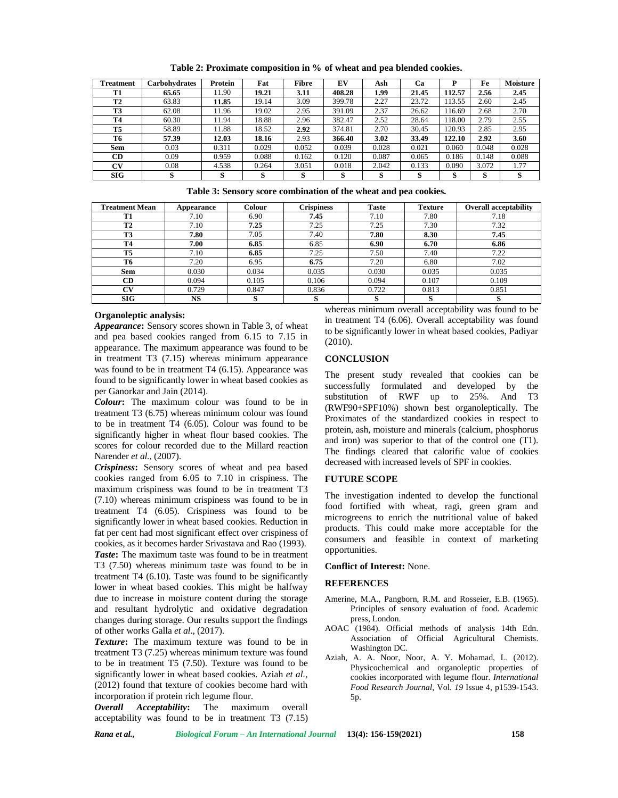| <b>Treatment</b> | <b>Carbohydrates</b> | Protein | Fat     | Fibre | EV     | Ash   | Cа    |        | Fe    | <b>Moisture</b> |
|------------------|----------------------|---------|---------|-------|--------|-------|-------|--------|-------|-----------------|
| T1               | 65.65                | 11.90   | 19.21   | 3.11  | 408.28 | 1.99  | 21.45 | 112.57 | 2.56  | 2.45            |
| T <sub>2</sub>   | 63.83                | 11.85   | 19.14   | 3.09  | 399.78 | 2.27  | 23.72 | 13.55  | 2.60  | 2.45            |
| T3               | 62.08                | 11.96   | 19.02   | 2.95  | 391.09 | 2.37  | 26.62 | 16.69  | 2.68  | 2.70            |
| <b>T4</b>        | 60.30                | 11.94   | 18.88   | 2.96  | 382.47 | 2.52  | 28.64 | 18.00  | 2.79  | 2.55            |
| T5               | 58.89                | 11.88   | 18.52   | 2.92  | 374.81 | 2.70  | 30.45 | 20.93  | 2.85  | 2.95            |
| T <sub>6</sub>   | 57.39                | 12.03   | 18.16   | 2.93  | 366.40 | 3.02  | 33.49 | 122.10 | 2.92  | 3.60            |
| <b>Sem</b>       | 0.03                 | 0.311   | 0.029   | 0.052 | 0.039  | 0.028 | 0.021 | 0.060  | 0.048 | 0.028           |
| CD               | 0.09                 | 0.959   | 0.088   | 0.162 | 0.120  | 0.087 | 0.065 | 0.186  | 0.148 | 0.088           |
| CV               | 0.08                 | 4.538   | 0.264   | 3.051 | 0.018  | 2.042 | 0.133 | 0.090  | 3.072 | 1.77            |
| SIG              | S                    | s       | c<br>ð. | O.    | s      | D.    | S     | D.     | s     | S               |

**Table 2: Proximate composition in % of wheat and pea blended cookies.**

**Table 3: Sensory score combination of the wheat and pea cookies.**

| <b>Treatment Mean</b> | Appearance | Colour | <b>Crispiness</b> | <b>Taste</b> | <b>Texture</b> | <b>Overall acceptability</b> |
|-----------------------|------------|--------|-------------------|--------------|----------------|------------------------------|
| T1                    | 7.10       | 6.90   | 7.45              | 7.10         | 7.80           | 7.18                         |
| T <sub>2</sub>        | 7.10       | 7.25   | 7.25              | 7.25         | 7.30           | 7.32                         |
| T <sub>3</sub>        | 7.80       | 7.05   | 7.40              | 7.80         | 8.30           | 7.45                         |
| <b>T4</b>             | 7.00       | 6.85   | 6.85              | 6.90         | 6.70           | 6.86                         |
| T5                    | 7.10       | 6.85   | 7.25              | 7.50         | 7.40           | 7.22                         |
| T6                    | 7.20       | 6.95   | 6.75              | 7.20         | 6.80           | 7.02                         |
| <b>Sem</b>            | 0.030      | 0.034  | 0.035             | 0.030        | 0.035          | 0.035                        |
| <b>CD</b>             | 0.094      | 0.105  | 0.106             | 0.094        | 0.107          | 0.109                        |
| CV                    | 0.729      | 0.847  | 0.836             | 0.722        | 0.813          | 0.851                        |
| SIG                   | NS         |        | ο                 |              | O              | O                            |

### **Organoleptic analysis:**

*Appearance***:** Sensory scores shown in Table 3, of wheat and pea based cookies ranged from 6.15 to 7.15 in appearance. The maximum appearance was found to be in treatment T3 (7.15) whereas minimum appearance was found to be in treatment T4 (6.15). Appearance was found to be significantly lower in wheat based cookies as per Ganorkar and Jain (2014).

*Colour***:** The maximum colour was found to be in treatment T3 (6.75) whereas minimum colour was found to be in treatment T4 (6.05). Colour was found to be significantly higher in wheat flour based cookies. The scores for colour recorded due to the Millard reaction Narender *et al.,* (2007).

*Crispiness***:** Sensory scores of wheat and pea based cookies ranged from 6.05 to 7.10 in crispiness. The maximum crispiness was found to be in treatment T3 (7.10) whereas minimum crispiness was found to be in treatment T4 (6.05). Crispiness was found to be significantly lower in wheat based cookies. Reduction in fat per cent had most significant effect over crispiness of cookies, as it becomes harder Srivastava and Rao (1993). *Taste***:** The maximum taste was found to be in treatment T3 (7.50) whereas minimum taste was found to be in treatment T4 (6.10). Taste was found to be significantly lower in wheat based cookies. This might be halfway due to increase in moisture content during the storage and resultant hydrolytic and oxidative degradation changes during storage. Our results support the findings of other works Galla *et al*., (2017).

*Texture***:** The maximum texture was found to be in treatment T3 (7.25) whereas minimum texture was found to be in treatment T5 (7.50). Texture was found to be significantly lower in wheat based cookies. Aziah *et al.,* (2012) found that texture of cookies become hard with incorporation if protein rich legume flour.

*Overall Acceptability***:** The maximum overall acceptability was found to be in treatment T3 (7.15)

whereas minimum overall acceptability was found to be in treatment T4 (6.06). Overall acceptability was found to be significantly lower in wheat based cookies, Padiyar (2010).

### **CONCLUSION**

The present study revealed that cookies can be successfully formulated and developed by the substitution of RWF up to 25%. And T3 (RWF90+SPF10%) shown best organoleptically. The Proximates of the standardized cookies in respect to protein, ash, moisture and minerals (calcium, phosphorus and iron) was superior to that of the control one (T1). The findings cleared that calorific value of cookies decreased with increased levels of SPF in cookies.

#### **FUTURE SCOPE**

The investigation indented to develop the functional food fortified with wheat, ragi, green gram and microgreens to enrich the nutritional value of baked products. This could make more acceptable for the consumers and feasible in context of marketing opportunities.

### **Conflict of Interest:** None.

#### **REFERENCES**

- Amerine, M.A., Pangborn, R.M. and Rosseier, E.B. (1965). Principles of sensory evaluation of food. Academic press, London.
- AOAC (1984). Official methods of analysis 14th Edn. Association of Official Agricultural Chemists. Washington DC.
- Aziah, A. A. Noor, Noor, A. Y. Mohamad, L. (2012). Physicochemical and organoleptic properties of cookies incorporated with legume flour. *International Food Research Journal*, Vol. *19* Issue 4, p1539-1543. 5p.